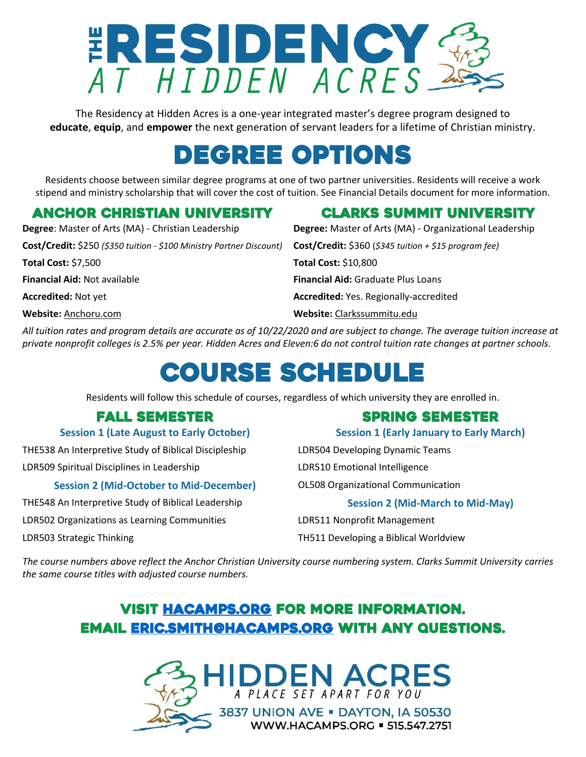# ERESIDENCY AT HIDDEN ACRES

The Residency at Hidden Acres is a one-year integrated master's degree program designed to **educate**, **equip**, and **empower** the next generation of servant leaders for a lifetime of Christian ministry.

## Degree options

Residents choose between similar degree programs at one of two partner universities. Residents will receive a work stipend and ministry scholarship that will cover the cost of tuition. See Financial Details document for more information.

### [Anchor Christian University Clarks Summit University](about:blank)

**Degree**: Master of Arts (MA) - Christian Leadership **Degree:** Master of Arts (MA) - Organizational Leadership **Cost/Credit:** \$250 *(\$350 tuition - \$100 Ministry Partner Discount)* **Cost/Credit:** \$360 (*\$345 tuition + \$15 program fee)* **Total Cost:** \$7,500 **Total Cost:** \$10,800 **Financial Aid:** Not available **Financial Aid:** Graduate Plus Loans **Accredited:** Not yet **Accredited:** Yes. Regionally-accredited **Website:** [Anchoru.com](https://anchoru.com/) **Website:** [Clarkssummitu.edu](https://www.clarkssummitu.edu/)

*All tuition rates and program details are accurate as of 10/22/2020 and are subject to change. The average tuition increase at private nonprofit colleges is 2.5% per year. Hidden Acres and Eleven:6 do not control tuition rate changes at partner schools.*

## Course Schedule

Residents will follow this schedule of courses, regardless of which university they are enrolled in.

THE538 An Interpretive Study of Biblical Discipleship LDR504 Developing Dynamic Teams LDR509 Spiritual Disciplines in Leadership LDR510 Emotional Intelligence

#### **Session 2 (Mid-October to Mid-December)** OL508 Organizational Communication

THE548 An Interpretive Study of Biblical Leadership **Session 2 (Mid-March to Mid-May)** LDR502 Organizations as Learning Communities LDR511 Nonprofit Management

### **FALL SEMESTER SPRING SEMESTER**

**Session 1 (Late August to Early October) Session 1 (Early January to Early March)**

LDR503 Strategic Thinking TH511 Developing a Biblical Worldview

*The course numbers above reflect the Anchor Christian University course numbering system. Clarks Summit University carries the same course titles with adjusted course numbers.*

### Visit [hacamps.org](https://www.hacamps.org/) for more information. Email [eric.smith@hacamps.org](mailto:eric.smith@hacamps.org?subject=The%20Residency) with any questions.